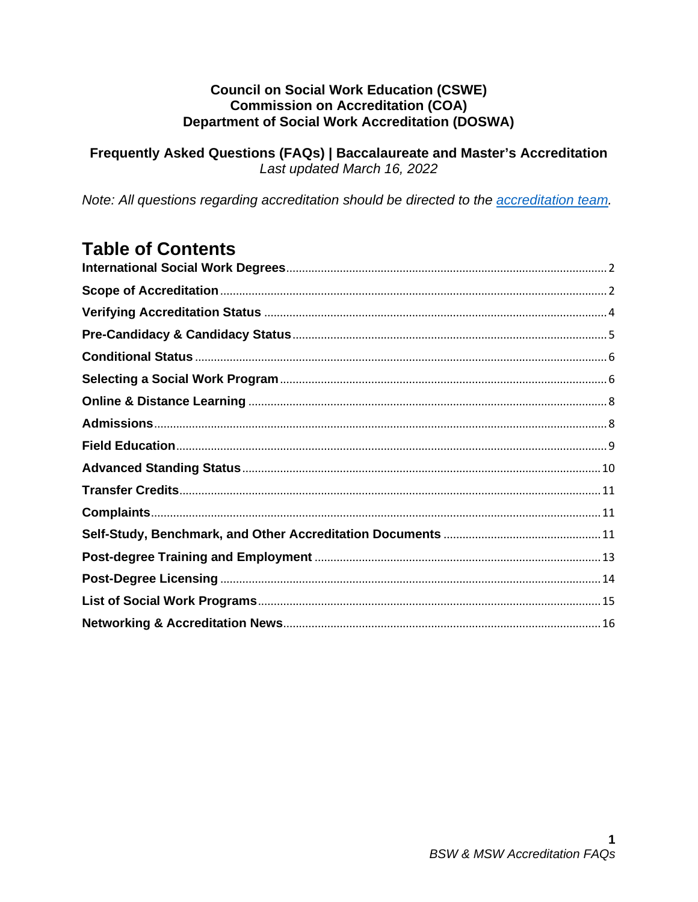#### **Council on Social Work Education (CSWE) Commission on Accreditation (COA) Department of Social Work Accreditation (DOSWA)**

Frequently Asked Questions (FAQs) | Baccalaureate and Master's Accreditation Last updated March 16, 2022

Note: All questions regarding accreditation should be directed to the accreditation team.

# **Table of Contents**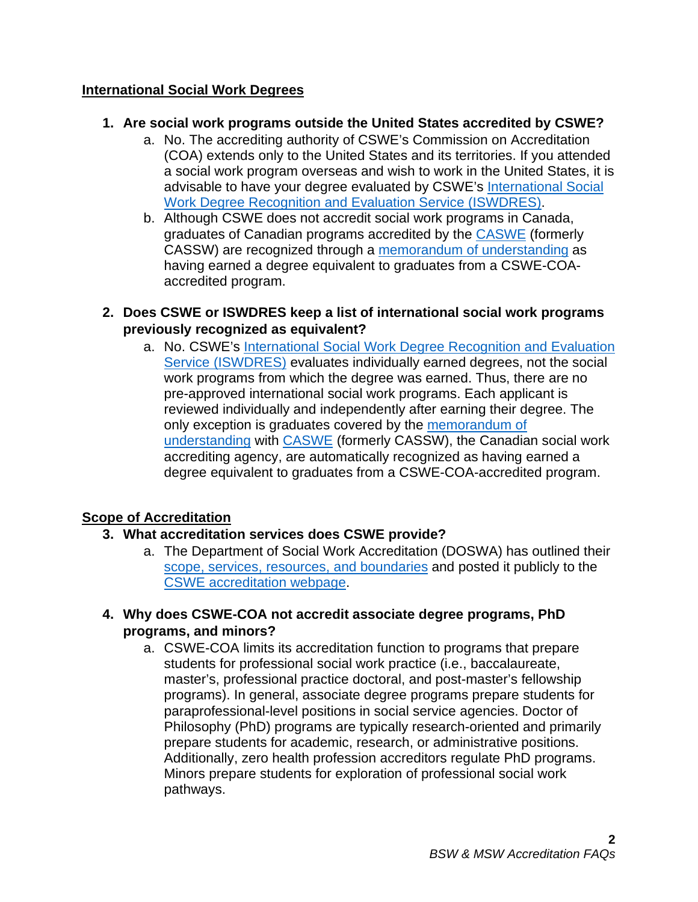# <span id="page-1-0"></span>**International Social Work Degrees**

# **1. Are social work programs outside the United States accredited by CSWE?**

- a. No. The accrediting authority of CSWE's Commission on Accreditation (COA) extends only to the United States and its territories. If you attended a social work program overseas and wish to work in the United States, it is advisable to have your degree evaluated by CSWE's International Social [Work Degree Recognition and Evaluation Service](https://www.cswe.org/centers-initiatives/international-degree-review/) (ISWDRES).
- b. Although CSWE does not accredit social work programs in Canada, graduates of Canadian programs accredited by the [CASWE](https://caswe-acfts.ca/) (formerly CASSW) are recognized through a [memorandum of understanding](https://www.cswe.org/getmedia/95e13933-1b9c-4f75-8f70-484f38ed4cc6/CASWE-MOU.pdf) as having earned a degree equivalent to graduates from a CSWE-COAaccredited program.
- **2. Does CSWE or ISWDRES keep a list of international social work programs previously recognized as equivalent?** 
	- a. No. CSWE's [International Social Work Degree Recognition and Evaluation](https://www.cswe.org/centers-initiatives/international-degree-review/)  [Service \(ISWDRES\)](https://www.cswe.org/centers-initiatives/international-degree-review/) evaluates individually earned degrees, not the social work programs from which the degree was earned. Thus, there are no pre-approved international social work programs. Each applicant is reviewed individually and independently after earning their degree. The only exception is graduates covered by the [memorandum of](https://www.cswe.org/getmedia/95e13933-1b9c-4f75-8f70-484f38ed4cc6/CASWE-MOU.pdf)  [understanding](https://www.cswe.org/getmedia/95e13933-1b9c-4f75-8f70-484f38ed4cc6/CASWE-MOU.pdf) with [CASWE](https://caswe-acfts.ca/) (formerly CASSW), the Canadian social work accrediting agency, are automatically recognized as having earned a degree equivalent to graduates from a CSWE-COA-accredited program.

# <span id="page-1-1"></span>**Scope of Accreditation**

# **3. What accreditation services does CSWE provide?**

- a. The Department of Social Work Accreditation (DOSWA) has outlined their [scope, services, resources, and boundaries](https://www.cswe.org/CSWE/media/AccreditationPDFs/CSWE-DOSWA-Scope-Services-Resources-9-14-20.pdf) and posted it publicly to the [CSWE accreditation webpage.](https://www.cswe.org/Accreditation)
- **4. Why does CSWE-COA not accredit associate degree programs, PhD programs, and minors?**
	- a. CSWE-COA limits its accreditation function to programs that prepare students for professional social work practice (i.e., baccalaureate, master's, professional practice doctoral, and post-master's fellowship programs). In general, associate degree programs prepare students for paraprofessional-level positions in social service agencies. Doctor of Philosophy (PhD) programs are typically research-oriented and primarily prepare students for academic, research, or administrative positions. Additionally, zero health profession accreditors regulate PhD programs. Minors prepare students for exploration of professional social work pathways.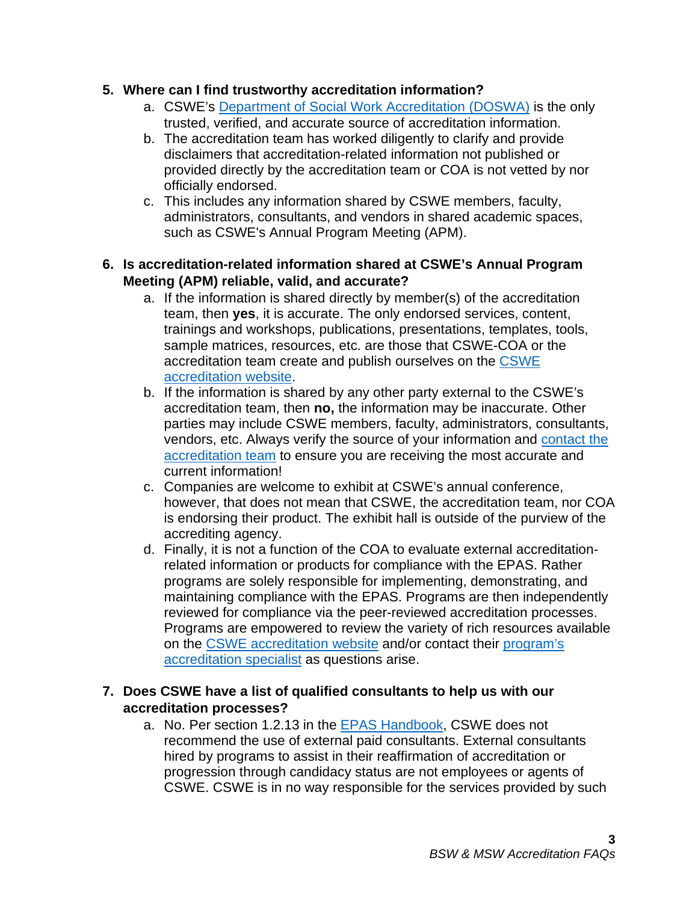## **5. Where can I find trustworthy accreditation information?**

- a. CSWE's [Department of Social Work Accreditation \(DOSWA\)](https://www.cswe.org/accreditation/info/contact-accreditation-staff/) is the only trusted, verified, and accurate source of accreditation information.
- b. The accreditation team has worked diligently to clarify and provide disclaimers that accreditation-related information not published or provided directly by the accreditation team or COA is not vetted by nor officially endorsed.
- c. This includes any information shared by CSWE members, faculty, administrators, consultants, and vendors in shared academic spaces, such as CSWE's Annual Program Meeting (APM).

# **6. Is accreditation-related information shared at CSWE's Annual Program Meeting (APM) reliable, valid, and accurate?**

- a. If the information is shared directly by member(s) of the accreditation team, then **yes**, it is accurate. The only endorsed services, content, trainings and workshops, publications, presentations, templates, tools, sample matrices, resources, etc. are those that CSWE-COA or the accreditation team create and publish ourselves on the CSWE [accreditation website.](https://www.cswe.org/Accreditation)
- b. If the information is shared by any other party external to the CSWE's accreditation team, then **no,** the information may be inaccurate. Other parties may include CSWE members, faculty, administrators, consultants, vendors, etc. Always verify the source of your information and [contact the](https://www.cswe.org/accreditation/info/contact-accreditation-staff/)  [accreditation team](https://www.cswe.org/accreditation/info/contact-accreditation-staff/) to ensure you are receiving the most accurate and current information!
- c. Companies are welcome to exhibit at CSWE's annual conference, however, that does not mean that CSWE, the accreditation team, nor COA is endorsing their product. The exhibit hall is outside of the purview of the accrediting agency.
- d. Finally, it is not a function of the COA to evaluate external accreditationrelated information or products for compliance with the EPAS. Rather programs are solely responsible for implementing, demonstrating, and maintaining compliance with the EPAS. Programs are then independently reviewed for compliance via the peer-reviewed accreditation processes. Programs are empowered to review the variety of rich resources available on the [CSWE accreditation website](https://www.cswe.org/Accreditation) and/or contact their [program's](https://www.cswe.org/accreditation/info/contact-accreditation-staff/)  [accreditation specialist](https://www.cswe.org/accreditation/info/contact-accreditation-staff/) as questions arise.

#### **7. Does CSWE have a list of qualified consultants to help us with our accreditation processes?**

a. No. Per section 1.2.13 in the [EPAS Handbook,](https://www.cswe.org/accreditation/standards/epas-handbook/) CSWE does not recommend the use of external paid consultants. External consultants hired by programs to assist in their reaffirmation of accreditation or progression through candidacy status are not employees or agents of CSWE. CSWE is in no way responsible for the services provided by such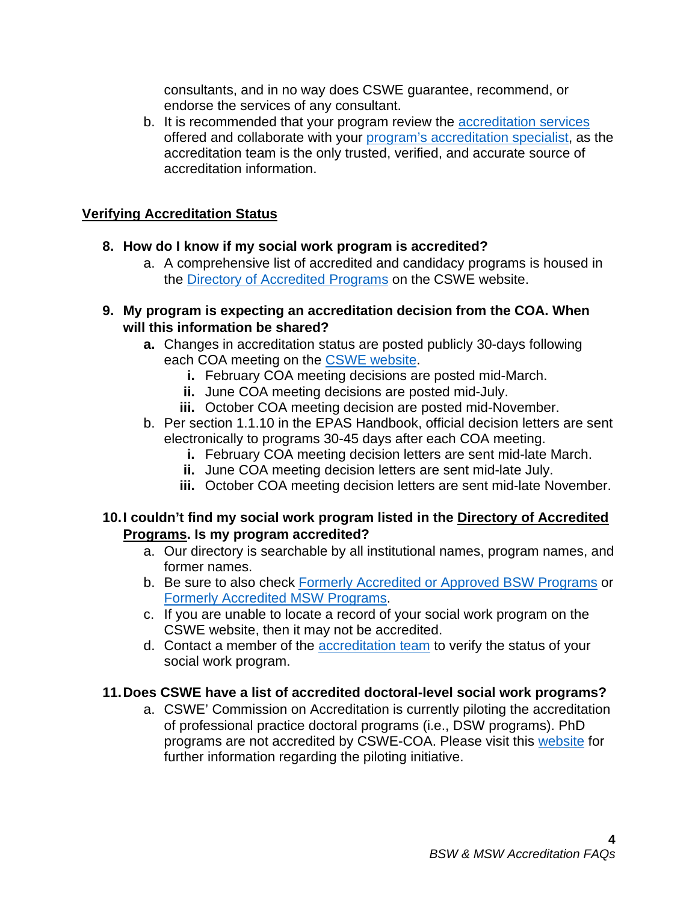consultants, and in no way does CSWE guarantee, recommend, or endorse the services of any consultant.

b. It is recommended that your program review the [accreditation services](https://www.cswe.org/CSWE/media/AccreditationPDFs/CSWE-DOSWA-Scope-Services-Resources-9-14-20.pdf) offered and collaborate with your [program's accreditation specialist,](https://www.cswe.org/accreditation/info/contact-accreditation-staff/) as the accreditation team is the only trusted, verified, and accurate source of accreditation information.

## <span id="page-3-0"></span>**Verifying Accreditation Status**

- **8. How do I know if my social work program is accredited?**
	- a. A comprehensive list of accredited and candidacy programs is housed in the [Directory of Accredited Programs](https://www.cswe.org/accreditation/directory/?) on the CSWE website.
- **9. My program is expecting an accreditation decision from the COA. When will this information be shared?** 
	- **a.** Changes in accreditation status are posted publicly 30-days following each COA meeting on the [CSWE website.](https://www.cswe.org/Accreditation/Information/COA-Decisions)
		- **i.** February COA meeting decisions are posted mid-March.
		- **ii.** June COA meeting decisions are posted mid-July.
		- **iii.** October COA meeting decision are posted mid-November.
	- b. Per section 1.1.10 in the EPAS Handbook, official decision letters are sent electronically to programs 30-45 days after each COA meeting.
		- **i.** February COA meeting decision letters are sent mid-late March.
		- **ii.** June COA meeting decision letters are sent mid-late July.
		- **iii.** October COA meeting decision letters are sent mid-late November.

#### **10.I couldn't find my social work program listed in the [Directory of Accredited](https://cswe.org/Accreditation/Directory-of-Accredited-Programs.aspx)  [Programs.](https://cswe.org/Accreditation/Directory-of-Accredited-Programs.aspx) Is my program accredited?**

- a. Our directory is searchable by all institutional names, program names, and former names.
- b. Be sure to also check [Formerly Accredited or Approved BSW Programs](https://www.cswe.org/accreditation/directory/formerly-accredited-or-approved-bsw-program/) or Formerly [Accredited MSW Programs.](https://www.cswe.org/accreditation/directory/formerly-accredited-msw-programs/)
- c. If you are unable to locate a record of your social work program on the CSWE website, then it may not be accredited.
- d. Contact a member of the [accreditation team](https://www.cswe.org/accreditation/info/contact-accreditation-staff/) to verify the status of your social work program.

# **11.Does CSWE have a list of accredited doctoral-level social work programs?**

a. CSWE' Commission on Accreditation is currently piloting the accreditation of professional practice doctoral programs (i.e., DSW programs). PhD programs are not accredited by CSWE-COA. Please visit this [website](https://www.cswe.org/accreditation/info/professional-practice-doctoral-program-accreditation/) for further information regarding the piloting initiative.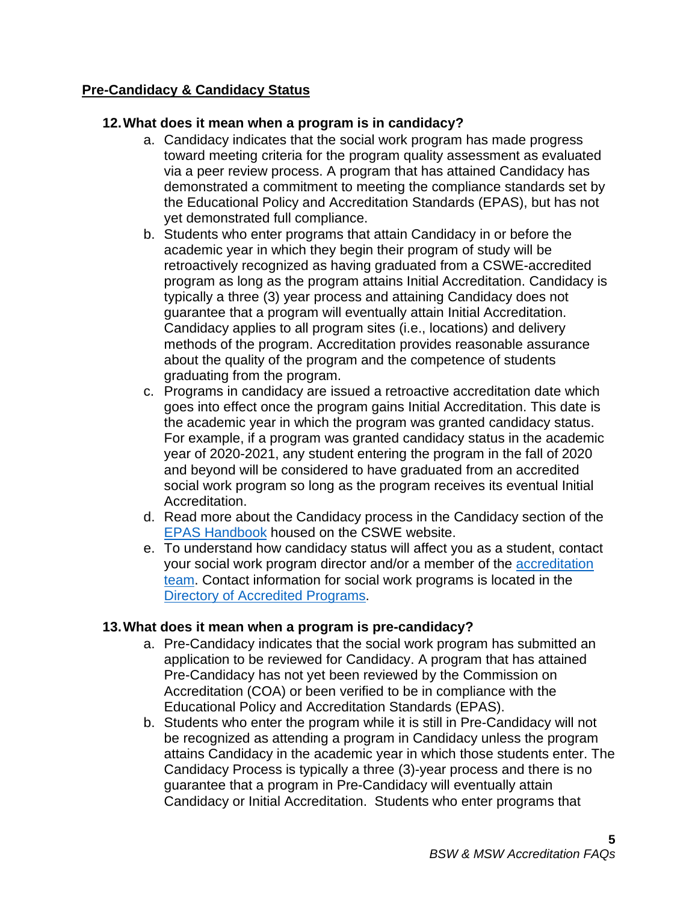# <span id="page-4-0"></span>**Pre-Candidacy & Candidacy Status**

# **12.What does it mean when a program is in candidacy?**

- a. Candidacy indicates that the social work program has made progress toward meeting criteria for the program quality assessment as evaluated via a peer review process. A program that has attained Candidacy has demonstrated a commitment to meeting the compliance standards set by the Educational Policy and Accreditation Standards (EPAS), but has not yet demonstrated full compliance.
- b. Students who enter programs that attain Candidacy in or before the academic year in which they begin their program of study will be retroactively recognized as having graduated from a CSWE-accredited program as long as the program attains Initial Accreditation. Candidacy is typically a three (3) year process and attaining Candidacy does not guarantee that a program will eventually attain Initial Accreditation. Candidacy applies to all program sites (i.e., locations) and delivery methods of the program. Accreditation provides reasonable assurance about the quality of the program and the competence of students graduating from the program.
- c. Programs in candidacy are issued a retroactive accreditation date which goes into effect once the program gains Initial Accreditation. This date is the academic year in which the program was granted candidacy status. For example, if a program was granted candidacy status in the academic year of 2020-2021, any student entering the program in the fall of 2020 and beyond will be considered to have graduated from an accredited social work program so long as the program receives its eventual Initial Accreditation.
- d. Read more about the Candidacy process in the Candidacy section of the [EPAS Handbook](https://www.cswe.org/accreditation/standards/epas-handbook/) housed on the CSWE website.
- e. To understand how candidacy status will affect you as a student, contact your social work program director and/or a member of the [accreditation](https://www.cswe.org/accreditation/info/contact-accreditation-staff/)  [team.](https://www.cswe.org/accreditation/info/contact-accreditation-staff/) Contact information for social work programs is located in the [Directory of Accredited Programs.](https://www.cswe.org/accreditation/directory/?)

#### **13.What does it mean when a program is pre-candidacy?**

- a. Pre-Candidacy indicates that the social work program has submitted an application to be reviewed for Candidacy. A program that has attained Pre-Candidacy has not yet been reviewed by the Commission on Accreditation (COA) or been verified to be in compliance with the Educational Policy and Accreditation Standards (EPAS).
- b. Students who enter the program while it is still in Pre-Candidacy will not be recognized as attending a program in Candidacy unless the program attains Candidacy in the academic year in which those students enter. The Candidacy Process is typically a three (3)-year process and there is no guarantee that a program in Pre-Candidacy will eventually attain Candidacy or Initial Accreditation. Students who enter programs that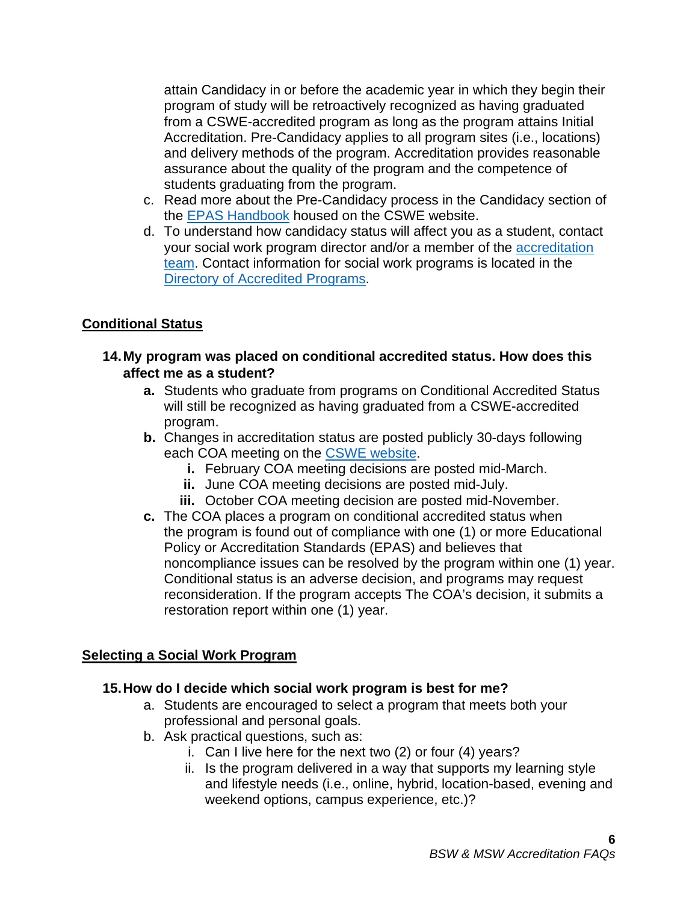attain Candidacy in or before the academic year in which they begin their program of study will be retroactively recognized as having graduated from a CSWE-accredited program as long as the program attains Initial Accreditation. Pre-Candidacy applies to all program sites (i.e., locations) and delivery methods of the program. Accreditation provides reasonable assurance about the quality of the program and the competence of students graduating from the program.

- c. Read more about the Pre-Candidacy process in the Candidacy section of the [EPAS Handbook](https://www.cswe.org/accreditation/standards/epas-handbook/) housed on the CSWE website.
- d. To understand how candidacy status will affect you as a student, contact your social work program director and/or a member of the [accreditation](https://www.cswe.org/accreditation/info/contact-accreditation-staff/)  [team.](https://www.cswe.org/accreditation/info/contact-accreditation-staff/) Contact information for social work programs is located in the [Directory of Accredited Programs.](https://www.cswe.org/accreditation/directory/?)

# <span id="page-5-0"></span>**Conditional Status**

- **14.My program was placed on conditional accredited status. How does this affect me as a student?**
	- **a.** Students who graduate from programs on Conditional Accredited Status will still be recognized as having graduated from a CSWE-accredited program.
	- **b.** Changes in accreditation status are posted publicly 30-days following each COA meeting on the [CSWE website.](https://www.cswe.org/accreditation/directory/?)
		- **i.** February COA meeting decisions are posted mid-March.
		- **ii.** June COA meeting decisions are posted mid-July.
		- **iii.** October COA meeting decision are posted mid-November.
	- **c.** The COA places a program on conditional accredited status when the program is found out of compliance with one (1) or more Educational Policy or Accreditation Standards (EPAS) and believes that noncompliance issues can be resolved by the program within one (1) year. Conditional status is an adverse decision, and programs may request reconsideration. If the program accepts The COA's decision, it submits a restoration report within one (1) year.

# <span id="page-5-1"></span>**Selecting a Social Work Program**

#### **15.How do I decide which social work program is best for me?**

- a. Students are encouraged to select a program that meets both your professional and personal goals.
- b. Ask practical questions, such as:
	- i. Can I live here for the next two (2) or four (4) years?
	- ii. Is the program delivered in a way that supports my learning style and lifestyle needs (i.e., online, hybrid, location-based, evening and weekend options, campus experience, etc.)?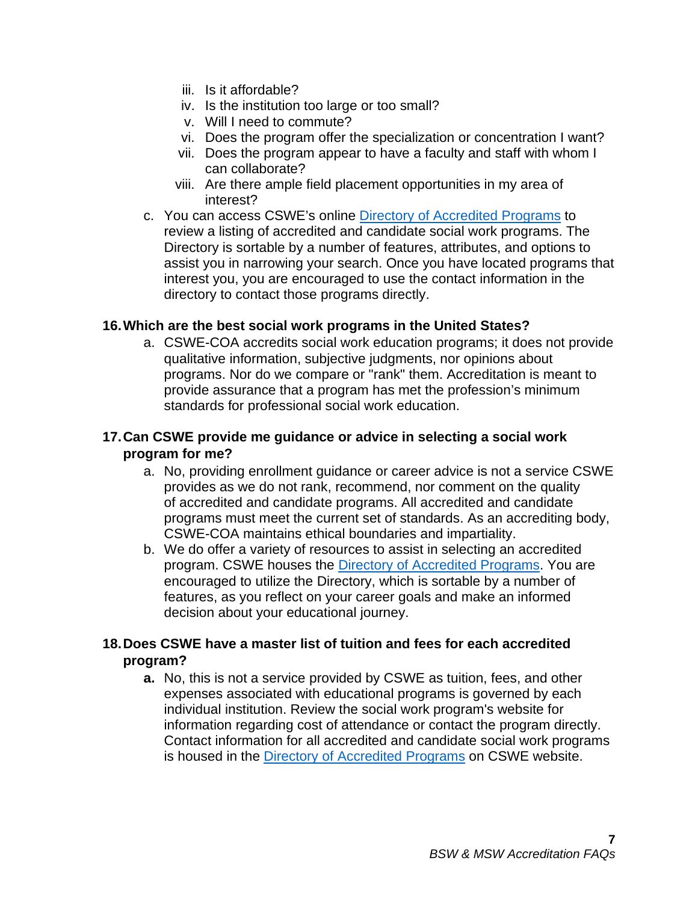- iii. Is it affordable?
- iv. Is the institution too large or too small?
- v. Will I need to commute?
- vi. Does the program offer the specialization or concentration I want?
- vii. Does the program appear to have a faculty and staff with whom I can collaborate?
- viii. Are there ample field placement opportunities in my area of interest?
- c. You can access CSWE's online [Directory of Accredited Programs](https://www.cswe.org/accreditation/directory/?) to review a listing of accredited and candidate social work programs. The Directory is sortable by a number of features, attributes, and options to assist you in narrowing your search. Once you have located programs that interest you, you are encouraged to use the contact information in the directory to contact those programs directly.

#### **16.Which are the best social work programs in the United States?**

a. CSWE-COA accredits social work education programs; it does not provide qualitative information, subjective judgments, nor opinions about programs. Nor do we compare or "rank" them. Accreditation is meant to provide assurance that a program has met the profession's minimum standards for professional social work education.

# **17.Can CSWE provide me guidance or advice in selecting a social work program for me?**

- a. No, providing enrollment guidance or career advice is not a service CSWE provides as we do not rank, recommend, nor comment on the quality of accredited and candidate programs. All accredited and candidate programs must meet the current set of standards. As an accrediting body, CSWE-COA maintains ethical boundaries and impartiality.
- b. We do offer a variety of resources to assist in selecting an accredited program. CSWE houses the [Directory of Accredited Programs.](https://www.cswe.org/accreditation/directory/?) You are encouraged to utilize the Directory, which is sortable by a number of features, as you reflect on your career goals and make an informed decision about your educational journey.

# **18.Does CSWE have a master list of tuition and fees for each accredited program?**

**a.** No, this is not a service provided by CSWE as tuition, fees, and other expenses associated with educational programs is governed by each individual institution. Review the social work program's website for information regarding cost of attendance or contact the program directly. Contact information for all accredited and candidate social work programs is housed in the [Directory of Accredited Programs](https://www.cswe.org/accreditation/directory/?) on CSWE website.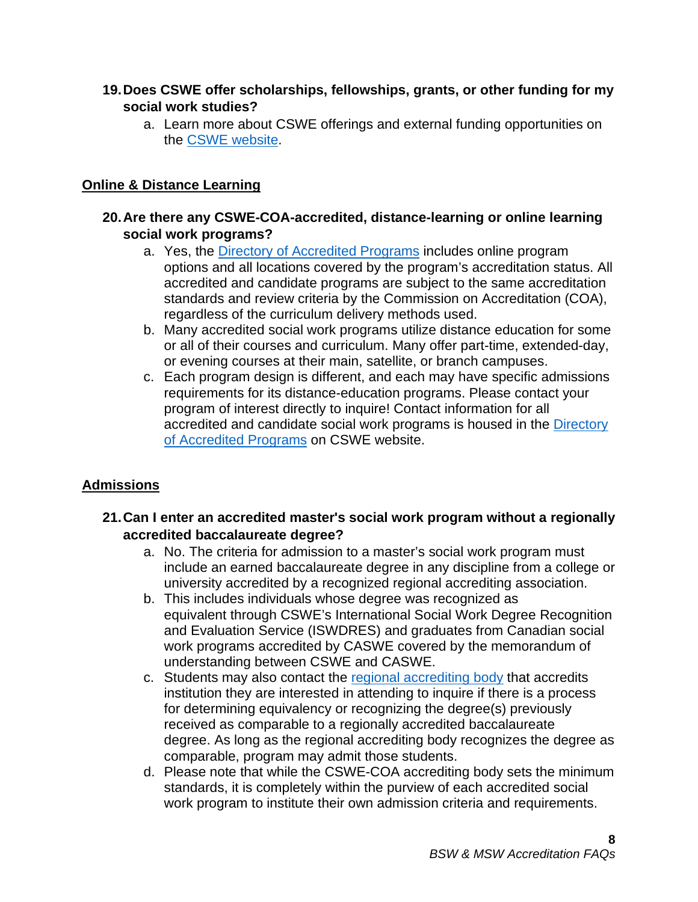# **19.Does CSWE offer scholarships, fellowships, grants, or other funding for my social work studies?**

a. Learn more about CSWE offerings and external funding opportunities on the [CSWE website.](https://www.cswe.org/Students)

# <span id="page-7-0"></span>**Online & Distance Learning**

## **20.Are there any CSWE-COA-accredited, distance-learning or online learning social work programs?**

- a. Yes, the [Directory of Accredited Programs](https://www.cswe.org/accreditation/directory/?) includes online program options and all locations covered by the program's accreditation status. All accredited and candidate programs are subject to the same accreditation standards and review criteria by the Commission on Accreditation (COA), regardless of the curriculum delivery methods used.
- b. Many accredited social work programs utilize distance education for some or all of their courses and curriculum. Many offer part-time, extended-day, or evening courses at their main, satellite, or branch campuses.
- c. Each program design is different, and each may have specific admissions requirements for its distance-education programs. Please contact your program of interest directly to inquire! Contact information for all accredited and candidate social work programs is housed in the [Directory](https://www.cswe.org/accreditation/directory/?)  [of Accredited Programs](https://www.cswe.org/accreditation/directory/?) on CSWE website.

# <span id="page-7-1"></span>**Admissions**

- **21.Can I enter an accredited master's social work program without a regionally accredited baccalaureate degree?**
	- a. No. The criteria for admission to a master's social work program must include an earned baccalaureate degree in any discipline from a college or university accredited by a recognized regional accrediting association.
	- b. This includes individuals whose degree was recognized as equivalent through CSWE's International Social Work Degree Recognition and Evaluation Service (ISWDRES) and graduates from Canadian social work programs accredited by CASWE covered by the memorandum of understanding between CSWE and CASWE.
	- c. Students may also contact the [regional accrediting body](https://www.chea.org/regional-accrediting-organizations) that accredits institution they are interested in attending to inquire if there is a process for determining equivalency or recognizing the degree(s) previously received as comparable to a regionally accredited baccalaureate degree. As long as the regional accrediting body recognizes the degree as comparable, program may admit those students.
	- d. Please note that while the CSWE-COA accrediting body sets the minimum standards, it is completely within the purview of each accredited social work program to institute their own admission criteria and requirements.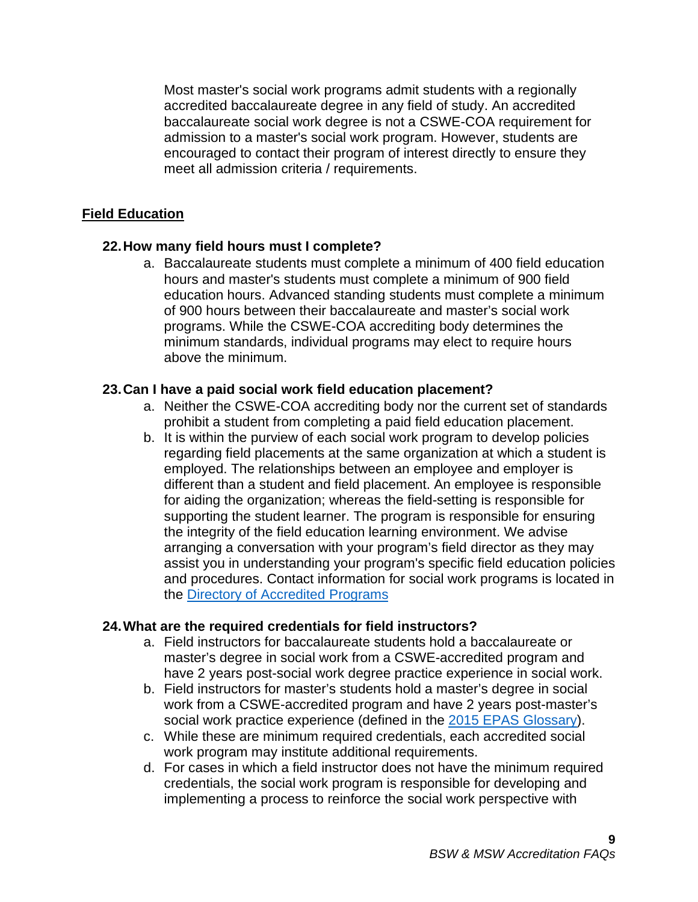Most master's social work programs admit students with a regionally accredited baccalaureate degree in any field of study. An accredited baccalaureate social work degree is not a CSWE-COA requirement for admission to a master's social work program. However, students are encouraged to contact their program of interest directly to ensure they meet all admission criteria / requirements.

# <span id="page-8-0"></span>**Field Education**

#### **22.How many field hours must I complete?**

a. Baccalaureate students must complete a minimum of 400 field education hours and master's students must complete a minimum of 900 field education hours. Advanced standing students must complete a minimum of 900 hours between their baccalaureate and master's social work programs. While the CSWE-COA accrediting body determines the minimum standards, individual programs may elect to require hours above the minimum.

#### **23.Can I have a paid social work field education placement?**

- a. Neither the CSWE-COA accrediting body nor the current set of standards prohibit a student from completing a paid field education placement.
- b. It is within the purview of each social work program to develop policies regarding field placements at the same organization at which a student is employed. The relationships between an employee and employer is different than a student and field placement. An employee is responsible for aiding the organization; whereas the field-setting is responsible for supporting the student learner. The program is responsible for ensuring the integrity of the field education learning environment. We advise arranging a conversation with your program's field director as they may assist you in understanding your program's specific field education policies and procedures. Contact information for social work programs is located in the [Directory of Accredited Programs](https://www.cswe.org/accreditation/directory/?)

#### **24.What are the required credentials for field instructors?**

- a. Field instructors for baccalaureate students hold a baccalaureate or master's degree in social work from a CSWE-accredited program and have 2 years post-social work degree practice experience in social work.
- b. Field instructors for master's students hold a master's degree in social work from a CSWE-accredited program and have 2 years post-master's social work practice experience (defined in the [2015 EPAS](https://www.cswe.org/accreditation/standards/2015-epas/) Glossary).
- c. While these are minimum required credentials, each accredited social work program may institute additional requirements.
- d. For cases in which a field instructor does not have the minimum required credentials, the social work program is responsible for developing and implementing a process to reinforce the social work perspective with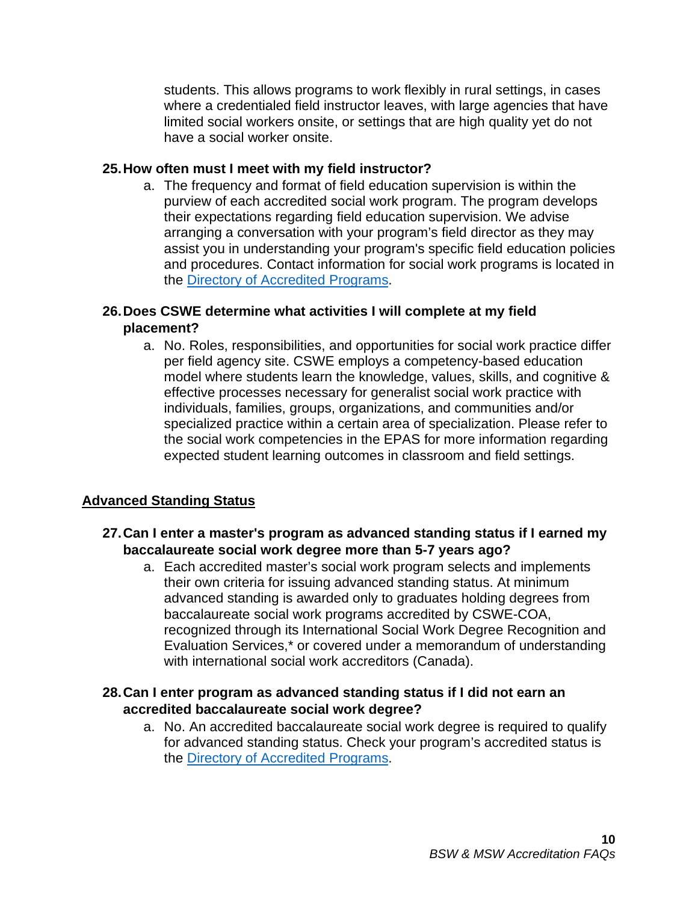students. This allows programs to work flexibly in rural settings, in cases where a credentialed field instructor leaves, with large agencies that have limited social workers onsite, or settings that are high quality yet do not have a social worker onsite.

#### **25.How often must I meet with my field instructor?**

a. The frequency and format of field education supervision is within the purview of each accredited social work program. The program develops their expectations regarding field education supervision. We advise arranging a conversation with your program's field director as they may assist you in understanding your program's specific field education policies and procedures. Contact information for social work programs is located in the [Directory of Accredited Programs.](https://www.cswe.org/accreditation/directory/?)

# **26.Does CSWE determine what activities I will complete at my field placement?**

a. No. Roles, responsibilities, and opportunities for social work practice differ per field agency site. CSWE employs a competency-based education model where students learn the knowledge, values, skills, and cognitive & effective processes necessary for generalist social work practice with individuals, families, groups, organizations, and communities and/or specialized practice within a certain area of specialization. Please refer to the social work competencies in the EPAS for more information regarding expected student learning outcomes in classroom and field settings.

# <span id="page-9-0"></span>**Advanced Standing Status**

#### **27.Can I enter a master's program as advanced standing status if I earned my baccalaureate social work degree more than 5-7 years ago?**

a. Each accredited master's social work program selects and implements their own criteria for issuing advanced standing status. At minimum advanced standing is awarded only to graduates holding degrees from baccalaureate social work programs accredited by CSWE-COA, recognized through its International Social Work Degree Recognition and Evaluation Services,\* or covered under a memorandum of understanding with international social work accreditors (Canada).

# **28.Can I enter program as advanced standing status if I did not earn an accredited baccalaureate social work degree?**

a. No. An accredited baccalaureate social work degree is required to qualify for advanced standing status. Check your program's accredited status is the [Directory of Accredited Programs.](https://www.cswe.org/accreditation/directory/?)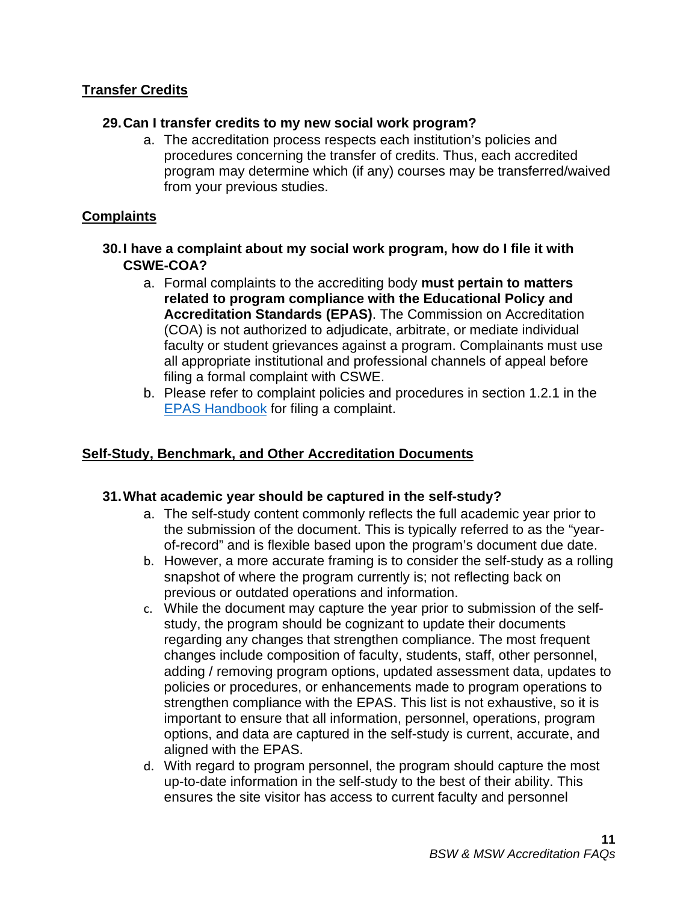# <span id="page-10-0"></span>**Transfer Credits**

#### **29.Can I transfer credits to my new social work program?**

a. The accreditation process respects each institution's policies and procedures concerning the transfer of credits. Thus, each accredited program may determine which (if any) courses may be transferred/waived from your previous studies.

#### <span id="page-10-1"></span>**Complaints**

- **30.I have a complaint about my social work program, how do I file it with CSWE-COA?**
	- a. Formal complaints to the accrediting body **must pertain to matters related to program compliance with the Educational Policy and Accreditation Standards (EPAS)**. The Commission on Accreditation (COA) is not authorized to adjudicate, arbitrate, or mediate individual faculty or student grievances against a program. Complainants must use all appropriate institutional and professional channels of appeal before filing a formal complaint with CSWE.
	- b. Please refer to complaint policies and procedures in section 1.2.1 in the [EPAS Handbook](https://www.cswe.org/accreditation/standards/epas-handbook/) for filing a complaint.

## <span id="page-10-2"></span>**Self-Study, Benchmark, and Other Accreditation Documents**

#### **31.What academic year should be captured in the self-study?**

- a. The self-study content commonly reflects the full academic year prior to the submission of the document. This is typically referred to as the "yearof-record" and is flexible based upon the program's document due date.
- b. However, a more accurate framing is to consider the self-study as a rolling snapshot of where the program currently is; not reflecting back on previous or outdated operations and information.
- c. While the document may capture the year prior to submission of the selfstudy, the program should be cognizant to update their documents regarding any changes that strengthen compliance. The most frequent changes include composition of faculty, students, staff, other personnel, adding / removing program options, updated assessment data, updates to policies or procedures, or enhancements made to program operations to strengthen compliance with the EPAS. This list is not exhaustive, so it is important to ensure that all information, personnel, operations, program options, and data are captured in the self-study is current, accurate, and aligned with the EPAS.
- d. With regard to program personnel, the program should capture the most up-to-date information in the self-study to the best of their ability. This ensures the site visitor has access to current faculty and personnel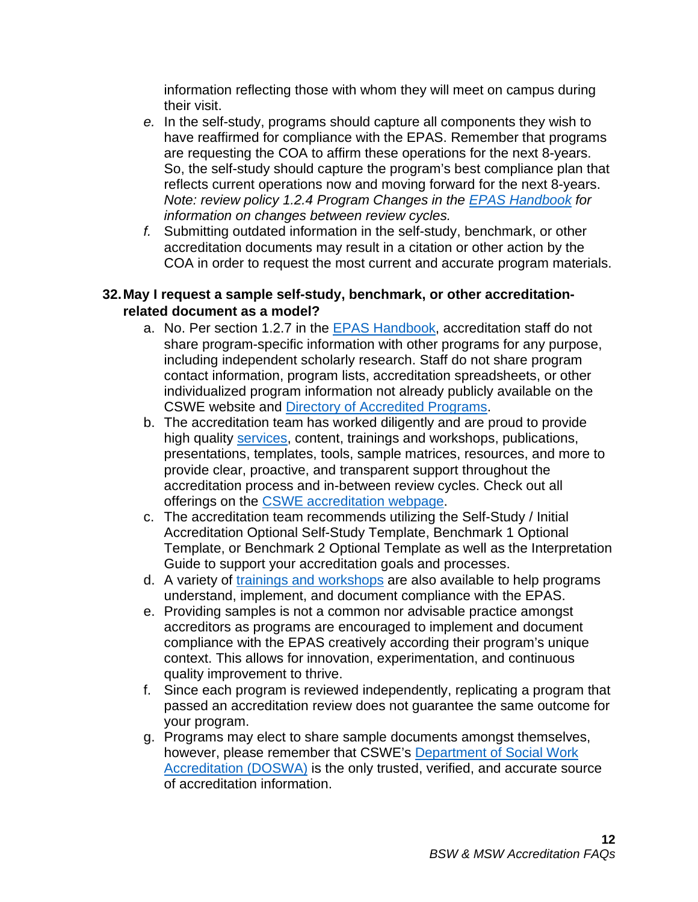information reflecting those with whom they will meet on campus during their visit.

- *e.* In the self-study, programs should capture all components they wish to have reaffirmed for compliance with the EPAS. Remember that programs are requesting the COA to affirm these operations for the next 8-years. So, the self-study should capture the program's best compliance plan that reflects current operations now and moving forward for the next 8-years. *Note: review policy 1.2.4 Program Changes in the [EPAS Handbook](https://www.cswe.org/accreditation/standards/epas-handbook/) for information on changes between review cycles.*
- *f.* Submitting outdated information in the self-study, benchmark, or other accreditation documents may result in a citation or other action by the COA in order to request the most current and accurate program materials.

# **32.May I request a sample self-study, benchmark, or other accreditationrelated document as a model?**

- a. No. Per section 1.2.7 in the [EPAS Handbook,](https://www.cswe.org/accreditation/standards/epas-handbook/) accreditation staff do not share program-specific information with other programs for any purpose, including independent scholarly research. Staff do not share program contact information, program lists, accreditation spreadsheets, or other individualized program information not already publicly available on the CSWE website and [Directory of Accredited Programs.](https://www.cswe.org/accreditation/directory/?)
- b. The accreditation team has worked diligently and are proud to provide high quality [services,](https://www.cswe.org/CSWE/media/AccreditationPDFs/CSWE-DOSWA-Scope-Services-Resources-9-14-20.pdf) content, trainings and workshops, publications, presentations, templates, tools, sample matrices, resources, and more to provide clear, proactive, and transparent support throughout the accreditation process and in-between review cycles. Check out all offerings on the [CSWE accreditation webpage.](https://www.cswe.org/Accreditation)
- c. The accreditation team recommends utilizing the Self-Study / Initial Accreditation Optional Self-Study Template, Benchmark 1 Optional Template, or Benchmark 2 Optional Template as well as the Interpretation Guide to support your accreditation goals and processes.
- d. A variety of trainings [and workshops](https://www.cswe.org/accreditation/training/) are also available to help programs understand, implement, and document compliance with the EPAS.
- e. Providing samples is not a common nor advisable practice amongst accreditors as programs are encouraged to implement and document compliance with the EPAS creatively according their program's unique context. This allows for innovation, experimentation, and continuous quality improvement to thrive.
- f. Since each program is reviewed independently, replicating a program that passed an accreditation review does not guarantee the same outcome for your program.
- g. Programs may elect to share sample documents amongst themselves, however, please remember that CSWE's [Department of Social Work](https://www.cswe.org/accreditation/info/contact-accreditation-staff/)  [Accreditation \(DOSWA\)](https://www.cswe.org/accreditation/info/contact-accreditation-staff/) is the only trusted, verified, and accurate source of accreditation information.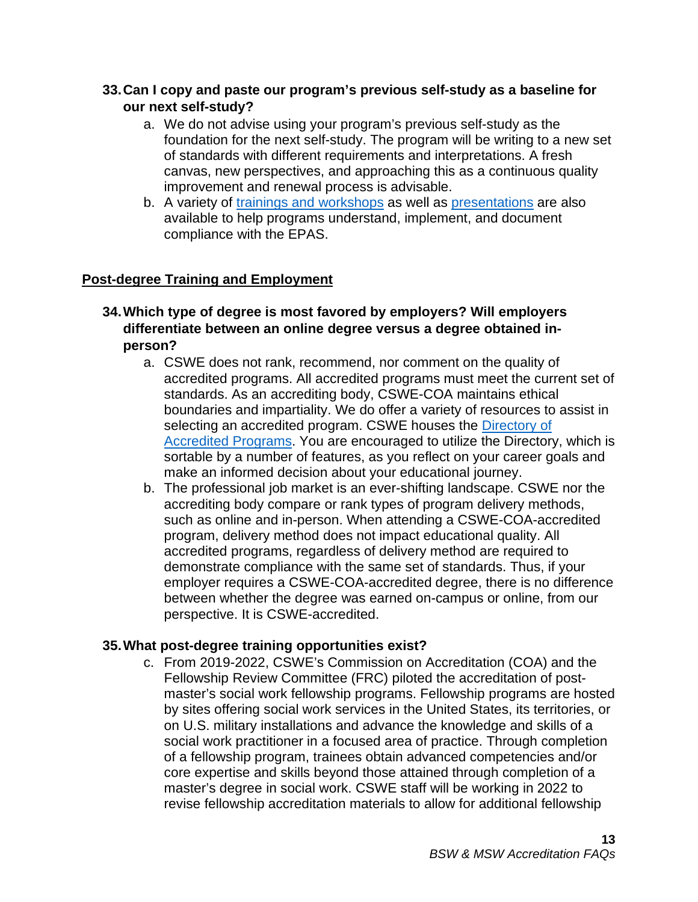## **33.Can I copy and paste our program's previous self-study as a baseline for our next self-study?**

- a. We do not advise using your program's previous self-study as the foundation for the next self-study. The program will be writing to a new set of standards with different requirements and interpretations. A fresh canvas, new perspectives, and approaching this as a continuous quality improvement and renewal process is advisable.
- b. A variety of [trainings and workshops](https://www.cswe.org/accreditation/training/) as well as [presentations](https://www.cswe.org/accreditation/training/accreditation-powerpoints/) are also available to help programs understand, implement, and document compliance with the EPAS.

# <span id="page-12-0"></span>**Post-degree Training and Employment**

- **34.Which type of degree is most favored by employers? Will employers differentiate between an online degree versus a degree obtained inperson?**
	- a. CSWE does not rank, recommend, nor comment on the quality of accredited programs. All accredited programs must meet the current set of standards. As an accrediting body, CSWE-COA maintains ethical boundaries and impartiality. We do offer a variety of resources to assist in selecting an accredited program. CSWE houses the [Directory of](https://www.cswe.org/accreditation/directory/?)  [Accredited Programs.](https://www.cswe.org/accreditation/directory/?) You are encouraged to utilize the Directory, which is sortable by a number of features, as you reflect on your career goals and make an informed decision about your educational journey.
	- b. The professional job market is an ever-shifting landscape. CSWE nor the accrediting body compare or rank types of program delivery methods, such as online and in-person. When attending a CSWE-COA-accredited program, delivery method does not impact educational quality. All accredited programs, regardless of delivery method are required to demonstrate compliance with the same set of standards. Thus, if your employer requires a CSWE-COA-accredited degree, there is no difference between whether the degree was earned on-campus or online, from our perspective. It is CSWE-accredited.

# **35.What post-degree training opportunities exist?**

c. From 2019-2022, CSWE's Commission on Accreditation (COA) and the Fellowship Review Committee (FRC) piloted the accreditation of postmaster's social work fellowship programs. Fellowship programs are hosted by sites offering social work services in the United States, its territories, or on U.S. military installations and advance the knowledge and skills of a social work practitioner in a focused area of practice. Through completion of a fellowship program, trainees obtain advanced competencies and/or core expertise and skills beyond those attained through completion of a master's degree in social work. CSWE staff will be working in 2022 to revise fellowship accreditation materials to allow for additional fellowship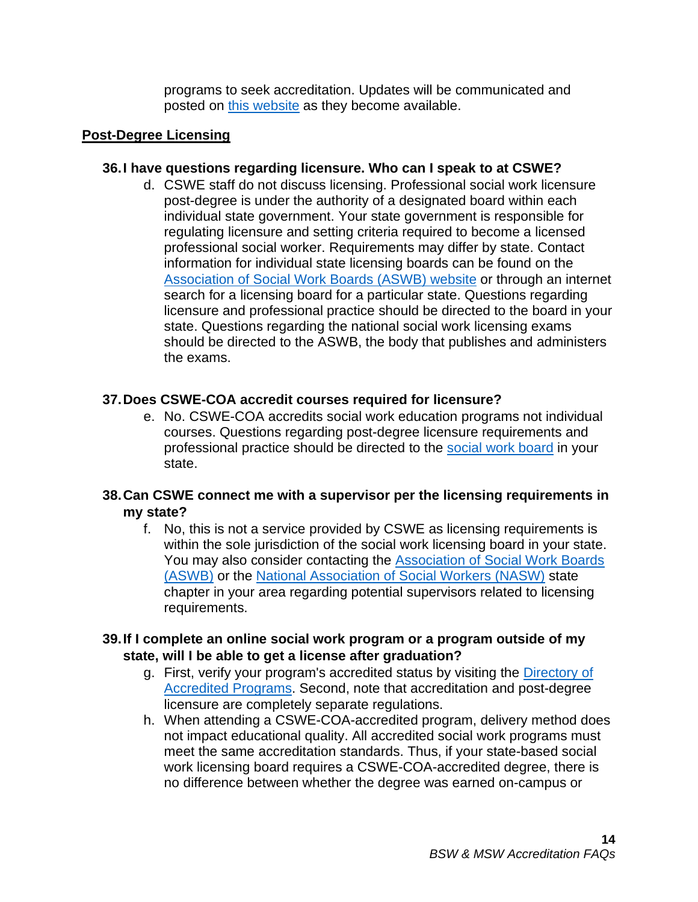programs to seek accreditation. Updates will be communicated and posted on [this website](https://www.cswe.org/accreditation/info/post-master-s-social-work-fellowship-accreditation/) as they become available.

#### <span id="page-13-0"></span>**Post-Degree Licensing**

#### **36.I have questions regarding licensure. Who can I speak to at CSWE?**

d. CSWE staff do not discuss licensing. Professional social work licensure post-degree is under the authority of a designated board within each individual state government. Your state government is responsible for regulating licensure and setting criteria required to become a licensed professional social worker. Requirements may differ by state. Contact information for individual state licensing boards can be found on the [Association of Social Work Boards \(ASWB\) website](http://www.aswb.org/) or through an internet search for a licensing board for a particular state. Questions regarding licensure and professional practice should be directed to the board in your state. Questions regarding the national social work licensing exams should be directed to the ASWB, the body that publishes and administers the exams.

#### **37.Does CSWE-COA accredit courses required for licensure?**

e. No. CSWE-COA accredits social work education programs not individual courses. Questions regarding post-degree licensure requirements and professional practice should be directed to the [social work board](http://www.aswb.org/) in your state.

# **38.Can CSWE connect me with a supervisor per the licensing requirements in my state?**

f. No, this is not a service provided by CSWE as licensing requirements is within the sole jurisdiction of the social work licensing board in your state. You may also consider contacting the [Association of Social Work Boards](http://www.aswb.org/)  [\(ASWB\)](http://www.aswb.org/) or the [National Association of Social Workers \(NASW\)](https://www.socialworkers.org/About/Chapters/Find-a-Chapter) state chapter in your area regarding potential supervisors related to licensing requirements.

#### **39.If I complete an online social work program or a program outside of my state, will I be able to get a license after graduation?**

- g. First, verify your program's accredited status by visiting the [Directory of](https://www.cswe.org/accreditation/directory/?)  [Accredited Programs.](https://www.cswe.org/accreditation/directory/?) Second, note that accreditation and post-degree licensure are completely separate regulations.
- h. When attending a CSWE-COA-accredited program, delivery method does not impact educational quality. All accredited social work programs must meet the same accreditation standards. Thus, if your state-based social work licensing board requires a CSWE-COA-accredited degree, there is no difference between whether the degree was earned on-campus or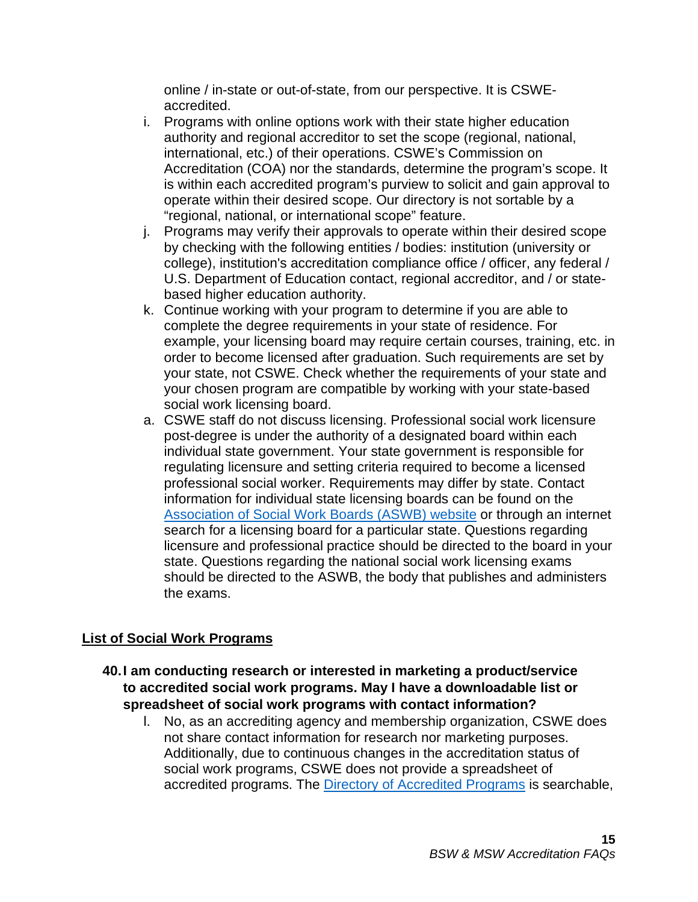online / in-state or out-of-state, from our perspective. It is CSWEaccredited.

- i. Programs with online options work with their state higher education authority and regional accreditor to set the scope (regional, national, international, etc.) of their operations. CSWE's Commission on Accreditation (COA) nor the standards, determine the program's scope. It is within each accredited program's purview to solicit and gain approval to operate within their desired scope. Our directory is not sortable by a "regional, national, or international scope" feature.
- j. Programs may verify their approvals to operate within their desired scope by checking with the following entities / bodies: institution (university or college), institution's accreditation compliance office / officer, any federal / U.S. Department of Education contact, regional accreditor, and / or statebased higher education authority.
- k. Continue working with your program to determine if you are able to complete the degree requirements in your state of residence. For example, your licensing board may require certain courses, training, etc. in order to become licensed after graduation. Such requirements are set by your state, not CSWE. Check whether the requirements of your state and your chosen program are compatible by working with your state-based social work licensing board.
- a. CSWE staff do not discuss licensing. Professional social work licensure post-degree is under the authority of a designated board within each individual state government. Your state government is responsible for regulating licensure and setting criteria required to become a licensed professional social worker. Requirements may differ by state. Contact information for individual state licensing boards can be found on the [Association of Social Work Boards \(ASWB\) website](http://www.aswb.org/) or through an internet search for a licensing board for a particular state. Questions regarding licensure and professional practice should be directed to the board in your state. Questions regarding the national social work licensing exams should be directed to the ASWB, the body that publishes and administers the exams.

# <span id="page-14-0"></span>**List of Social Work Programs**

- **40.I am conducting research or interested in marketing a product/service to accredited social work programs. May I have a downloadable list or spreadsheet of social work programs with contact information?**
	- l. No, as an accrediting agency and membership organization, CSWE does not share contact information for research nor marketing purposes. Additionally, due to continuous changes in the accreditation status of social work programs, CSWE does not provide a spreadsheet of accredited programs. The **Directory of Accredited Programs** is searchable,